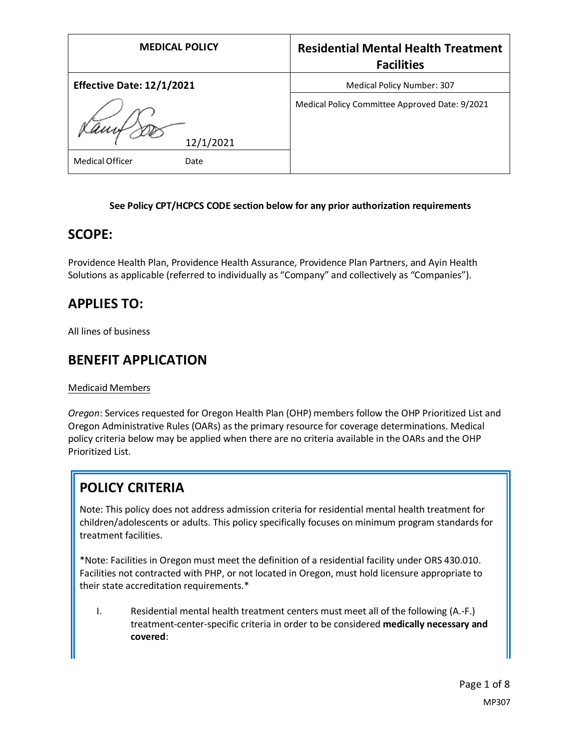| <b>MEDICAL POLICY</b>            | <b>Residential Mental Health Treatment</b><br><b>Facilities</b> |
|----------------------------------|-----------------------------------------------------------------|
| <b>Effective Date: 12/1/2021</b> | <b>Medical Policy Number: 307</b>                               |
| 12/1/2021                        | Medical Policy Committee Approved Date: 9/2021                  |
| <b>Medical Officer</b><br>Date   |                                                                 |

#### **See Policy CPT/HCPCS CODE section below for any prior authorization requirements**

### **SCOPE:**

Providence Health Plan, Providence Health Assurance, Providence Plan Partners, and Ayin Health Solutions as applicable (referred to individually as "Company" and collectively as "Companies").

### **APPLIES TO:**

All lines of business

### **BENEFIT APPLICATION**

Medicaid Members

*Oregon*: Services requested for Oregon Health Plan (OHP) members follow the OHP Prioritized List and Oregon Administrative Rules (OARs) as the primary resource for coverage determinations. Medical policy criteria below may be applied when there are no criteria available in the OARs and the OHP Prioritized List.

# **POLICY CRITERIA**

Note: This policy does not address admission criteria for residential mental health treatment for children/adolescents or adults. This policy specifically focuses on minimum program standards for treatment facilities.

\*Note: Facilities in Oregon must meet the definition of a residential facility under ORS 430.010. Facilities not contracted with PHP, or not located in Oregon, must hold licensure appropriate to their state accreditation requirements.\*

I. Residential mental health treatment centers must meet all of the following (A.-F.) treatment-center-specific criteria in order to be considered **medically necessary and covered**: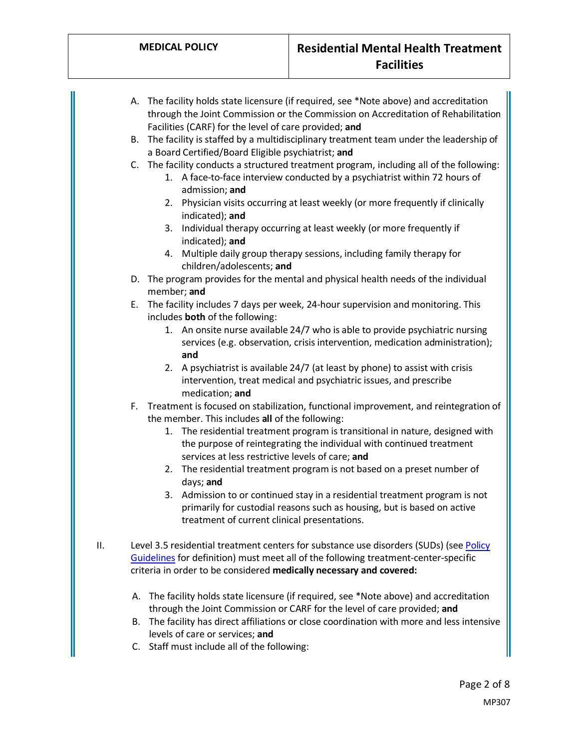- A. The facility holds state licensure (if required, see \*Note above) and accreditation through the Joint Commission or the Commission on Accreditation of Rehabilitation Facilities (CARF) for the level of care provided; **and**
- B. The facility is staffed by a multidisciplinary treatment team under the leadership of a Board Certified/Board Eligible psychiatrist; **and**
- C. The facility conducts a structured treatment program, including all of the following:
	- 1. A face-to-face interview conducted by a psychiatrist within 72 hours of admission; **and**
	- 2. Physician visits occurring at least weekly (or more frequently if clinically indicated); **and**
	- 3. Individual therapy occurring at least weekly (or more frequently if indicated); **and**
	- 4. Multiple daily group therapy sessions, including family therapy for children/adolescents; **and**
- D. The program provides for the mental and physical health needs of the individual member; **and**
- E. The facility includes 7 days per week, 24-hour supervision and monitoring. This includes **both** of the following:
	- 1. An onsite nurse available 24/7 who is able to provide psychiatric nursing services (e.g. observation, crisis intervention, medication administration); **and**
	- 2. A psychiatrist is available 24/7 (at least by phone) to assist with crisis intervention, treat medical and psychiatric issues, and prescribe medication; **and**
- F. Treatment is focused on stabilization, functional improvement, and reintegration of the member. This includes **all** of the following:
	- 1. The residential treatment program is transitional in nature, designed with the purpose of reintegrating the individual with continued treatment services at less restrictive levels of care; **and**
	- 2. The residential treatment program is not based on a preset number of days; **and**
	- 3. Admission to or continued stay in a residential treatment program is not primarily for custodial reasons such as housing, but is based on active treatment of current clinical presentations.
- II. Level 3.5 residential treatment centers for substance use disorders (SUDs) (see Policy [Guidelines](#page-4-0) for definition) must meet all of the following treatment-center-specific criteria in order to be considered **medically necessary and covered:**
	- A. The facility holds state licensure (if required, see \*Note above) and accreditation through the Joint Commission or CARF for the level of care provided; **and**
	- B. The facility has direct affiliations or close coordination with more and less intensive levels of care or services; **and**
	- C. Staff must include all of the following: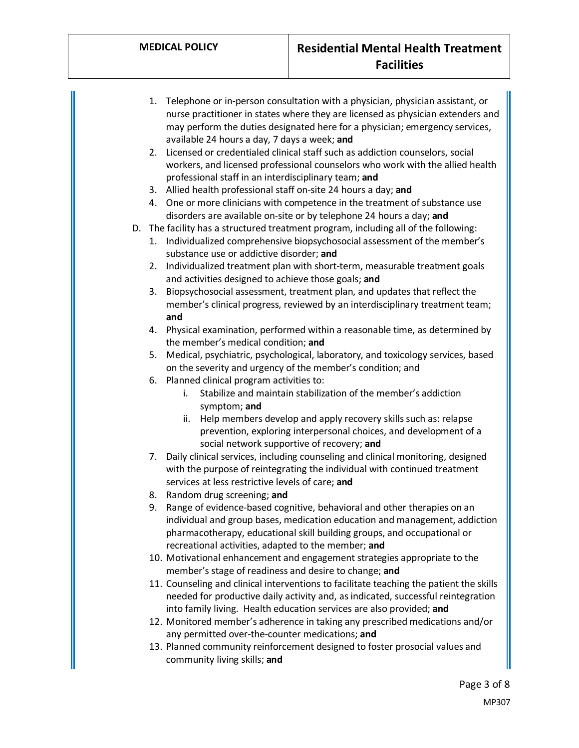- 1. Telephone or in-person consultation with a physician, physician assistant, or nurse practitioner in states where they are licensed as physician extenders and may perform the duties designated here for a physician; emergency services, available 24 hours a day, 7 days a week; **and**
- 2. Licensed or credentialed clinical staff such as addiction counselors, social workers, and licensed professional counselors who work with the allied health professional staff in an interdisciplinary team; **and**
- 3. Allied health professional staff on-site 24 hours a day; **and**
- 4. One or more clinicians with competence in the treatment of substance use disorders are available on-site or by telephone 24 hours a day; **and**
- D. The facility has a structured treatment program, including all of the following:
	- 1. Individualized comprehensive biopsychosocial assessment of the member's substance use or addictive disorder; **and**
	- 2. Individualized treatment plan with short-term, measurable treatment goals and activities designed to achieve those goals; **and**
	- 3. Biopsychosocial assessment, treatment plan, and updates that reflect the member's clinical progress, reviewed by an interdisciplinary treatment team; **and**
	- 4. Physical examination, performed within a reasonable time, as determined by the member's medical condition; **and**
	- 5. Medical, psychiatric, psychological, laboratory, and toxicology services, based on the severity and urgency of the member's condition; and
	- 6. Planned clinical program activities to:
		- i. Stabilize and maintain stabilization of the member's addiction symptom; **and**
		- ii. Help members develop and apply recovery skills such as: relapse prevention, exploring interpersonal choices, and development of a social network supportive of recovery; **and**
	- 7. Daily clinical services, including counseling and clinical monitoring, designed with the purpose of reintegrating the individual with continued treatment services at less restrictive levels of care; **and**
	- 8. Random drug screening; **and**
	- 9. Range of evidence-based cognitive, behavioral and other therapies on an individual and group bases, medication education and management, addiction pharmacotherapy, educational skill building groups, and occupational or recreational activities, adapted to the member; **and**
	- 10. Motivational enhancement and engagement strategies appropriate to the member's stage of readiness and desire to change; **and**
	- 11. Counseling and clinical interventions to facilitate teaching the patient the skills needed for productive daily activity and, as indicated, successful reintegration into family living. Health education services are also provided; **and**
	- 12. Monitored member's adherence in taking any prescribed medications and/or any permitted over-the-counter medications; **and**
	- 13. Planned community reinforcement designed to foster prosocial values and community living skills; **and**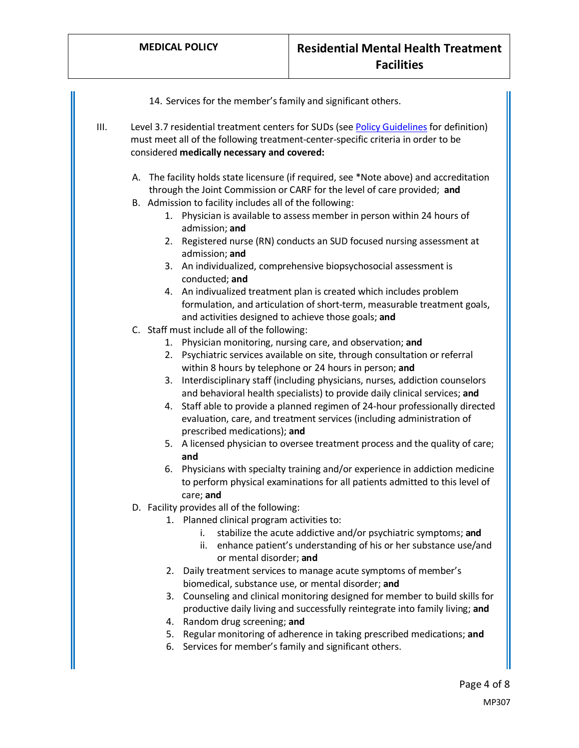|    | 14. Services for the member's family and significant others.                                                                                                                                                               |
|----|----------------------------------------------------------------------------------------------------------------------------------------------------------------------------------------------------------------------------|
| Ш. | Level 3.7 residential treatment centers for SUDs (see Policy Guidelines for definition)<br>must meet all of the following treatment-center-specific criteria in order to be<br>considered medically necessary and covered: |
|    | A. The facility holds state licensure (if required, see *Note above) and accreditation<br>through the Joint Commission or CARF for the level of care provided; and                                                         |
|    | B. Admission to facility includes all of the following:<br>1. Physician is available to assess member in person within 24 hours of<br>admission; and                                                                       |
|    | Registered nurse (RN) conducts an SUD focused nursing assessment at<br>2.<br>admission; and                                                                                                                                |
|    | 3. An individualized, comprehensive biopsychosocial assessment is<br>conducted; and                                                                                                                                        |
|    | 4. An indivualized treatment plan is created which includes problem<br>formulation, and articulation of short-term, measurable treatment goals,<br>and activities designed to achieve those goals; and                     |
|    | C. Staff must include all of the following:                                                                                                                                                                                |
|    | 1. Physician monitoring, nursing care, and observation; and<br>2. Psychiatric services available on site, through consultation or referral<br>within 8 hours by telephone or 24 hours in person; and                       |
|    | Interdisciplinary staff (including physicians, nurses, addiction counselors<br>3.<br>and behavioral health specialists) to provide daily clinical services; and                                                            |
|    | 4. Staff able to provide a planned regimen of 24-hour professionally directed<br>evaluation, care, and treatment services (including administration of<br>prescribed medications); and                                     |
|    | 5. A licensed physician to oversee treatment process and the quality of care;<br>and                                                                                                                                       |
|    | 6. Physicians with specialty training and/or experience in addiction medicine<br>to perform physical examinations for all patients admitted to this level of<br>care; and                                                  |
|    | D. Facility provides all of the following:                                                                                                                                                                                 |
|    | 1. Planned clinical program activities to:<br>stabilize the acute addictive and/or psychiatric symptoms; and<br>i.<br>enhance patient's understanding of his or her substance use/and<br>ii.<br>or mental disorder; and    |
|    | Daily treatment services to manage acute symptoms of member's<br>2.                                                                                                                                                        |
|    | biomedical, substance use, or mental disorder; and<br>Counseling and clinical monitoring designed for member to build skills for<br>3.                                                                                     |
|    | productive daily living and successfully reintegrate into family living; and<br>Random drug screening; and<br>4.                                                                                                           |
|    | Regular monitoring of adherence in taking prescribed medications; and<br>5.                                                                                                                                                |
|    | Services for member's family and significant others.<br>6.                                                                                                                                                                 |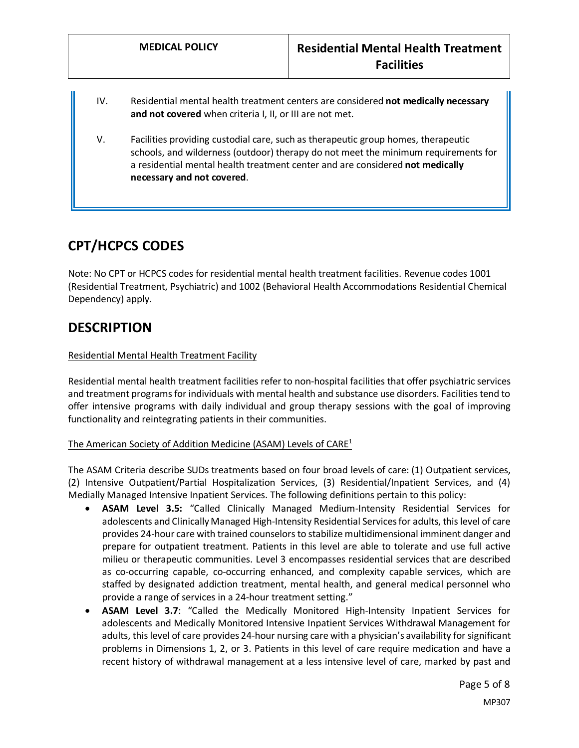- IV. Residential mental health treatment centers are considered **not medically necessary and not covered** when criteria I, II, or III are not met.
- V. Facilities providing custodial care, such as therapeutic group homes, therapeutic schools, and wilderness (outdoor) therapy do not meet the minimum requirements for a residential mental health treatment center and are considered **not medically necessary and not covered**.

## **CPT/HCPCS CODES**

Note: No CPT or HCPCS codes for residential mental health treatment facilities. Revenue codes 1001 (Residential Treatment, Psychiatric) and 1002 (Behavioral Health Accommodations Residential Chemical Dependency) apply.

### **DESCRIPTION**

#### Residential Mental Health Treatment Facility

Residential mental health treatment facilities refer to non-hospital facilities that offer psychiatric services and treatment programs for individuals with mental health and substance use disorders. Facilities tend to offer intensive programs with daily individual and group therapy sessions with the goal of improving functionality and reintegrating patients in their communities.

#### The American Society of Addition Medicine (ASAM) Levels of  $CARE<sup>1</sup>$

The ASAM Criteria describe SUDs treatments based on four broad levels of care: (1) Outpatient services, (2) Intensive Outpatient/Partial Hospitalization Services, (3) Residential/Inpatient Services, and (4) Medially Managed Intensive Inpatient Services. The following definitions pertain to this policy:

- <span id="page-4-0"></span>• **ASAM Level 3.5:** "Called Clinically Managed Medium-Intensity Residential Services for adolescents and Clinically Managed High-Intensity Residential Services for adults, this level of care provides 24-hour care with trained counselors to stabilize multidimensional imminent danger and prepare for outpatient treatment. Patients in this level are able to tolerate and use full active milieu or therapeutic communities. Level 3 encompasses residential services that are described as co-occurring capable, co-occurring enhanced, and complexity capable services, which are staffed by designated addiction treatment, mental health, and general medical personnel who provide a range of services in a 24-hour treatment setting."
- <span id="page-4-1"></span>• **ASAM Level 3.7**: "Called the Medically Monitored High-Intensity Inpatient Services for adolescents and Medically Monitored Intensive Inpatient Services Withdrawal Management for adults, this level of care provides 24-hour nursing care with a physician's availability for significant problems in Dimensions 1, 2, or 3. Patients in this level of care require medication and have a recent history of withdrawal management at a less intensive level of care, marked by past and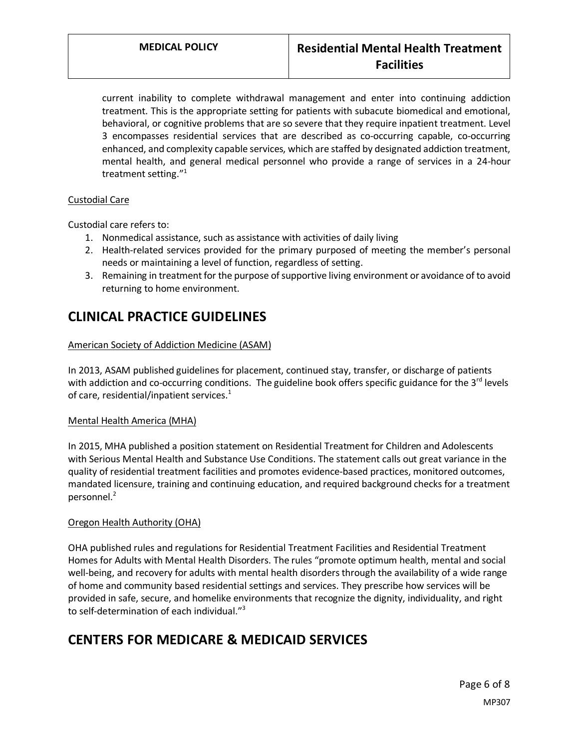current inability to complete withdrawal management and enter into continuing addiction treatment. This is the appropriate setting for patients with subacute biomedical and emotional, behavioral, or cognitive problems that are so severe that they require inpatient treatment. Level 3 encompasses residential services that are described as co-occurring capable, co-occurring enhanced, and complexity capable services, which are staffed by designated addiction treatment, mental health, and general medical personnel who provide a range of services in a 24-hour treatment setting." 1

#### Custodial Care

Custodial care refers to:

- 1. Nonmedical assistance, such as assistance with activities of daily living
- 2. Health-related services provided for the primary purposed of meeting the member's personal needs or maintaining a level of function, regardless of setting.
- 3. Remaining in treatment for the purpose of supportive living environment or avoidance of to avoid returning to home environment.

### **CLINICAL PRACTICE GUIDELINES**

#### American Society of Addiction Medicine (ASAM)

In 2013, ASAM published guidelines for placement, continued stay, transfer, or discharge of patients with addiction and co-occurring conditions. The guideline book offers specific guidance for the  $3^{rd}$  levels of care, residential/inpatient services. $1$ 

#### Mental Health America (MHA)

In 2015, MHA published a position statement on Residential Treatment for Children and Adolescents with Serious Mental Health and Substance Use Conditions. The statement calls out great variance in the quality of residential treatment facilities and promotes evidence-based practices, monitored outcomes, mandated licensure, training and continuing education, and required background checks for a treatment personnel.<sup>2</sup>

#### Oregon Health Authority (OHA)

OHA published rules and regulations for Residential Treatment Facilities and Residential Treatment Homes for Adults with Mental Health Disorders. The rules "promote optimum health, mental and social well-being, and recovery for adults with mental health disorders through the availability of a wide range of home and community based residential settings and services. They prescribe how services will be provided in safe, secure, and homelike environments that recognize the dignity, individuality, and right to self-determination of each individual."<sup>3</sup>

## **CENTERS FOR MEDICARE & MEDICAID SERVICES**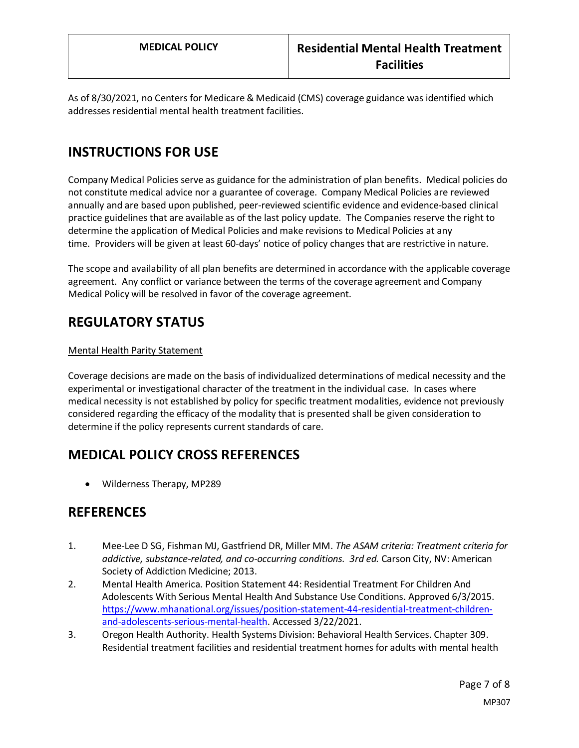As of 8/30/2021, no Centers for Medicare & Medicaid (CMS) coverage guidance was identified which addresses residential mental health treatment facilities.

# **INSTRUCTIONS FOR USE**

Company Medical Policies serve as guidance for the administration of plan benefits. Medical policies do not constitute medical advice nor a guarantee of coverage. Company Medical Policies are reviewed annually and are based upon published, peer-reviewed scientific evidence and evidence-based clinical practice guidelines that are available as of the last policy update. The Companies reserve the right to determine the application of Medical Policies and make revisions to Medical Policies at any time. Providers will be given at least 60-days' notice of policy changes that are restrictive in nature.

The scope and availability of all plan benefits are determined in accordance with the applicable coverage agreement. Any conflict or variance between the terms of the coverage agreement and Company Medical Policy will be resolved in favor of the coverage agreement.

### **REGULATORY STATUS**

#### Mental Health Parity Statement

Coverage decisions are made on the basis of individualized determinations of medical necessity and the experimental or investigational character of the treatment in the individual case. In cases where medical necessity is not established by policy for specific treatment modalities, evidence not previously considered regarding the efficacy of the modality that is presented shall be given consideration to determine if the policy represents current standards of care.

## **MEDICAL POLICY CROSS REFERENCES**

• Wilderness Therapy, MP289

### **REFERENCES**

- 1. Mee-Lee D SG, Fishman MJ, Gastfriend DR, Miller MM. *The ASAM criteria: Treatment criteria for addictive, substance-related, and co-occurring conditions. 3rd ed.* Carson City, NV: American Society of Addiction Medicine; 2013.
- 2. Mental Health America. Position Statement 44: Residential Treatment For Children And Adolescents With Serious Mental Health And Substance Use Conditions. Approved 6/3/2015. [https://www.mhanational.org/issues/position-statement-44-residential-treatment-children](https://www.mhanational.org/issues/position-statement-44-residential-treatment-children-and-adolescents-serious-mental-health)[and-adolescents-serious-mental-health.](https://www.mhanational.org/issues/position-statement-44-residential-treatment-children-and-adolescents-serious-mental-health) Accessed 3/22/2021.
- 3. Oregon Health Authority. Health Systems Division: Behavioral Health Services. Chapter 309. Residential treatment facilities and residential treatment homes for adults with mental health